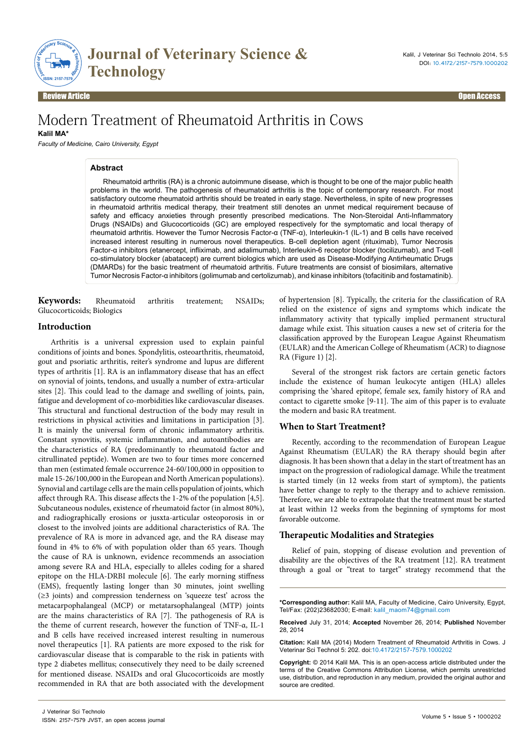

Review Article Communication of the contract of the contract of the contract of the contract of the contract of the contract of the contract of the contract of the contract of the contract of the contract of the contract o

# Modern Treatment of Rheumatoid Arthritis in Cows

**Kalil MA\***

*Faculty of Medicine, Cairo University, Egypt*

#### **Abstract**

Rheumatoid arthritis (RA) is a chronic autoimmune disease, which is thought to be one of the major public health problems in the world. The pathogenesis of rheumatoid arthritis is the topic of contemporary research. For most satisfactory outcome rheumatoid arthritis should be treated in early stage. Nevertheless, in spite of new progresses in rheumatoid arthritis medical therapy, their treatment still denotes an unmet medical requirement because of safety and efficacy anxieties through presently prescribed medications. The Non-Steroidal Anti-Inflammatory Drugs (NSAIDs) and Glucocorticoids (GC) are employed respectively for the symptomatic and local therapy of rheumatoid arthritis. However the Tumor Necrosis Factor-α (TNF-α), Interleukin-1 (IL-1) and B cells have received increased interest resulting in numerous novel therapeutics. B-cell depletion agent (rituximab), Tumor Necrosis Factor-α inhibitors (etanercept, infliximab, and adalimumab), Interleukin-6 receptor blocker (tocilizumab), and T-cell co-stimulatory blocker (abatacept) are current biologics which are used as Disease-Modifying Antirheumatic Drugs (DMARDs) for the basic treatment of rheumatoid arthritis. Future treatments are consist of biosimilars, alternative Tumor Necrosis Factor-α inhibitors (golimumab and certolizumab), and kinase inhibitors (tofacitinib and fostamatinib).

**Keywords:** Rheumatoid arthritis treatement; NSAIDs; Glucocorticoids; Biologics

#### **Introduction**

Arthritis is a universal expression used to explain painful conditions of joints and bones. Spondylitis, osteoarthritis, rheumatoid, gout and psoriatic arthritis, reiter's syndrome and lupus are different types of arthritis [1]. RA is an inflammatory disease that has an effect on synovial of joints, tendons, and usually a number of extra-articular sites [2]. This could lead to the damage and swelling of joints, pain, fatigue and development of co-morbidities like cardiovascular diseases. This structural and functional destruction of the body may result in restrictions in physical activities and limitations in participation [3]. It is mainly the universal form of chronic inflammatory arthritis. Constant synovitis, systemic inflammation, and autoantibodies are the characteristics of RA (predominantly to rheumatoid factor and citrullinated peptide). Women are two to four times more concerned than men (estimated female occurrence 24-60/100,000 in opposition to male 15-26/100,000 in the European and North American populations). Synovial and cartilage cells are the main cells population of joints, which affect through RA. This disease affects the 1-2% of the population [4,5]. Subcutaneous nodules, existence of rheumatoid factor (in almost 80%), and radiographically erosions or jusxta-articular osteoporosis in or closest to the involved joints are additional characteristics of RA. The prevalence of RA is more in advanced age, and the RA disease may found in 4% to 6% of with population older than 65 years. Though the cause of RA is unknown, evidence recommends an association among severe RA and HLA, especially to alleles coding for a shared epitope on the HLA-DRBI molecule [6]. The early morning stiffness (EMS), frequently lasting longer than 30 minutes, joint swelling (≥3 joints) and compression tenderness on 'squeeze test' across the metacarpophalangeal (MCP) or metatarsophalangeal (MTP) joints are the mains characteristics of RA [7]. The pathogenesis of RA is the theme of current research, however the function of TNF-α, IL-1 and B cells have received increased interest resulting in numerous novel therapeutics [1]. RA patients are more exposed to the risk for cardiovascular disease that is comparable to the risk in patients with type 2 diabetes mellitus; consecutively they need to be daily screened for mentioned disease. NSAIDs and oral Glucocorticoids are mostly recommended in RA that are both associated with the development of hypertension [8]. Typically, the criteria for the classification of RA relied on the existence of signs and symptoms which indicate the inflammatory activity that typically implied permanent structural damage while exist. This situation causes a new set of criteria for the classification approved by the European League Against Rheumatism (EULAR) and the American College of Rheumatism (ACR) to diagnose RA (Figure 1) [2].

Several of the strongest risk factors are certain genetic factors include the existence of human leukocyte antigen (HLA) alleles comprising the 'shared epitope', female sex, family history of RA and contact to cigarette smoke [9-11]. The aim of this paper is to evaluate the modern and basic RA treatment.

### **When to Start Treatment?**

Recently, according to the recommendation of European League Against Rheumatism (EULAR) the RA therapy should begin after diagnosis. It has been shown that a delay in the start of treatment has an impact on the progression of radiological damage. While the treatment is started timely (in 12 weeks from start of symptom), the patients have better change to reply to the therapy and to achieve remission. Therefore, we are able to extrapolate that the treatment must be started at least within 12 weeks from the beginning of symptoms for most favorable outcome.

#### **Therapeutic Modalities and Strategies**

Relief of pain, stopping of disease evolution and prevention of disability are the objectives of the RA treatment [12]. RA treatment through a goal or "treat to target" strategy recommend that the

**\*Corresponding author:** Kalil MA, Faculty of Medicine, Cairo University, Egypt, Tel/Fax: (202)23682030; E-mail: kalil\_maom74@gmail.com

**Received** July 31, 2014; **Accepted** November 26, 2014; **Published** November 28, 2014

**Citation:** Kalil MA (2014) Modern Treatment of Rheumatoid Arthritis in Cows. J Veterinar Sci Technol 5: 202. doi:10.4172/2157-7579.1000202

**Copyright:** © 2014 Kalil MA. This is an open-access article distributed under the terms of the Creative Commons Attribution License, which permits unrestricted use, distribution, and reproduction in any medium, provided the original author and source are credited.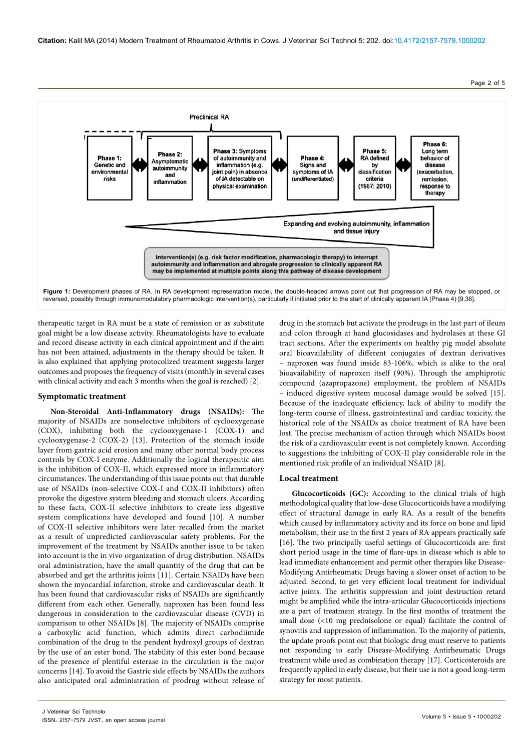**Citation:** Kalil MA (2014) Modern Treatment of Rheumatoid Arthritis in Cows. J Veterinar Sci Technol 5: 202. doi:10.4172/2157-7579.1000202

**Preclinical RA** Phase 6: Phase 3: Symptoms Phase 5: Long term Phase 2: Phase 1: of autoimmunity and Phase 4: **RA** defined behavior of Asymptomatic Genetic and inflammation (e.g. Signs and by disease autoimmunity environmental joint pain) in absence symptoms of IA classification (exacerbation and risks of JA detectable on (undifferentiated) criteria remission, inflammation  $(1987; 2010)$ physical examination response to therapy Expanding and evolving autoimmunity, inflammation and tissue injury Intervention(s) (e.g. risk factor modification, pharmacologic therapy) to interrupt autoimmunity and inflammation and abrogate progression to clinically apparent RA may be implemented at multiple points along this pathway of disease development **Figure 1:** Development phases of RA. In RA development representation model, the double-headed arrows point out that progression of RA may be stopped, or reversed, possibly through immunomodulatory pharmacologic intervention(s), particularly if initiated prior to the start of clinically apparent IA (Phase 4) [9,36].

therapeutic target in RA must be a state of remission or as substitute goal might be a low disease activity. Rheumatologists have to evaluate and record disease activity in each clinical appointment and if the aim has not been attained, adjustments in the therapy should be taken. It is also explained that applying protocolized treatment suggests larger outcomes and proposes the frequency of visits (monthly in several cases with clinical activity and each 3 months when the goal is reached) [2].

#### **Symptomatic treatment**

**Non-Steroidal Anti-Inflammatory drugs (NSAIDs):** The majority of NSAIDs are nonselective inhibitors of cyclooxygenase (COX), inhibiting both the cyclooxygenase-1 (COX-1) and cyclooxygenase-2 (COX-2) [13]. Protection of the stomach inside layer from gastric acid erosion and many other normal body process controls by COX-I enzyme. Additionally the logical therapeutic aim is the inhibition of COX-II, which expressed more in inflammatory circumstances. The understanding of this issue points out that durable use of NSAIDs (non-selective COX-I and COX-II inhibitors) often provoke the digestive system bleeding and stomach ulcers. According to these facts, COX-II selective inhibitors to create less digestive system complications have developed and found [10]. A number of COX-II selective inhibitors were later recalled from the market as a result of unpredicted cardiovascular safety problems. For the improvement of the treatment by NSAIDs another issue to be taken into account is the in vivo organization of drug distribution. NSAIDs oral administration, have the small quantity of the drug that can be absorbed and get the arthritis joints [11]. Certain NSAIDs have been shown the myocardial infarction, stroke and cardiovascular death. It has been found that cardiovascular risks of NSAIDs are significantly different from each other. Generally, naproxen has been found less dangerous in consideration to the cardiovascular disease (CVD) in comparison to other NSAIDs [8]. The majority of NSAIDs comprise a carboxylic acid function, which admits direct carbodiimide combination of the drug to the pendent hydroxyl groups of dextran by the use of an ester bond. The stability of this ester bond because of the presence of plentiful esterase in the circulation is the major concerns [14]. To avoid the Gastric side effects by NSAIDs the authors also anticipated oral administration of prodrug without release of

drug in the stomach but activate the prodrugs in the last part of ileum and colon through at hand glucosidases and hydrolases at these GI tract sections. After the experiments on healthy pig model absolute oral bioavailability of different conjugates of dextran derivatives – naproxen was found inside 83-106%, which is alike to the oral bioavailability of naproxen itself (90%). Through the amphiprotic compound (azapropazone) employment, the problem of NSAIDs – induced digestive system mucosal damage would be solved [15]. Because of the inadequate efficiency, lack of ability to modify the long-term course of illness, gastrointestinal and cardiac toxicity, the historical role of the NSAIDs as choice treatment of RA have been lost. The precise mechanism of action through which NSAIDs boost the risk of a cardiovascular event is not completely known. According to suggestions the inhibiting of COX-II play considerable role in the mentioned risk profile of an individual NSAID [8].

#### **Local treatment**

**Glucocorticoids (GC):** According to the clinical trials of high methodological quality that low-dose Glucocorticoids have a modifying effect of structural damage in early RA. As a result of the benefits which caused by inflammatory activity and its force on bone and lipid metabolism, their use in the first 2 years of RA appears practically safe [16]. The two principally useful settings of Glucocorticoids are: first short period usage in the time of flare-ups in disease which is able to lead immediate enhancement and permit other therapies like Disease-Modifying Antirheumatic Drugs having a slower onset of action to be adjusted. Second, to get very efficient local treatment for individual active joints. The arthritis suppression and joint destruction retard might be amplified while the intra-articular Glucocorticoids injections are a part of treatment strategy. In the first months of treatment the small dose (<10 mg prednisolone or equal) facilitate the control of synovitis and suppression of inflammation. To the majority of patients, the update proofs point out that biologic drug must reserve to patients not responding to early Disease-Modifying Antirheumatic Drugs treatment while used as combination therapy [17]. Corticosteroids are frequently applied in early disease, but their use is not a good long-term strategy for most patients.

## Page 2 of 5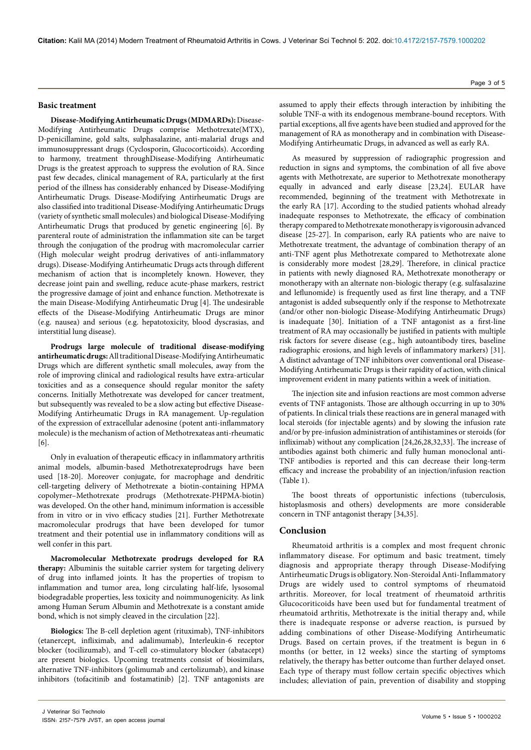#### **Basic treatment**

**Disease-Modifying Antirheumatic Drugs (MDMARDs):** Disease-Modifying Antirheumatic Drugs comprise Methotrexate(MTX), D-penicillamine, gold salts, sulphasalazine, anti-malarial drugs and immunosuppressant drugs (Cyclosporin, Glucocorticoids). According to harmony, treatment throughDisease-Modifying Antirheumatic Drugs is the greatest approach to suppress the evolution of RA. Since past few decades, clinical management of RA, particularly at the first period of the illness has considerably enhanced by Disease-Modifying Antirheumatic Drugs. Disease-Modifying Antirheumatic Drugs are also classified into traditional Disease-Modifying Antirheumatic Drugs (variety of synthetic small molecules) and biological Disease-Modifying Antirheumatic Drugs that produced by genetic engineering [6]. By parenteral route of administration the inflammation site can be target through the conjugation of the prodrug with macromolecular carrier (High molecular weight prodrug derivatives of anti-inflammatory drugs). Disease-Modifying Antirheumatic Drugs acts through different mechanism of action that is incompletely known. However, they decrease joint pain and swelling, reduce acute-phase markers, restrict the progressive damage of joint and enhance function. Methotrexate is the main Disease-Modifying Antirheumatic Drug [4]. The undesirable effects of the Disease-Modifying Antirheumatic Drugs are minor (e.g. nausea) and serious (e.g. hepatotoxicity, blood dyscrasias, and interstitial lung disease).

**Prodrugs large molecule of traditional disease-modifying antirheumatic drugs:** All traditional Disease-Modifying Antirheumatic Drugs which are different synthetic small molecules, away from the role of improving clinical and radiological results have extra-articular toxicities and as a consequence should regular monitor the safety concerns. Initially Methotrexate was developed for cancer treatment, but subsequently was revealed to be a slow acting but effective Disease-Modifying Antirheumatic Drugs in RA management. Up-regulation of the expression of extracellular adenosine (potent anti-inflammatory molecule) is the mechanism of action of Methotrexateas anti-rheumatic [6].

Only in evaluation of therapeutic efficacy in inflammatory arthritis animal models, albumin-based Methotrexateprodrugs have been used [18-20]. Moreover conjugate, for macrophage and dendritic cell-targeting delivery of Methotrexate a biotin-containing HPMA copolymer–Methotrexate prodrugs (Methotrexate-PHPMA-biotin) was developed. On the other hand, minimum information is accessible from in vitro or in vivo efficacy studies [21]. Further Methotrexate macromolecular prodrugs that have been developed for tumor treatment and their potential use in inflammatory conditions will as well confer in this part.

**Macromolecular Methotrexate prodrugs developed for RA therapy:** Albuminis the suitable carrier system for targeting delivery of drug into inflamed joints. It has the properties of tropism to inflammation and tumor area, long circulating half-life, lysosomal biodegradable properties, less toxicity and noimmunogenicity. As link among Human Serum Albumin and Methotrexate is a constant amide bond, which is not simply cleaved in the circulation [22].

**Biologics:** The B-cell depletion agent (rituximab), TNF-inhibitors (etanercept, infliximab, and adalimumab), Interleukin-6 receptor blocker (tocilizumab), and T-cell co-stimulatory blocker (abatacept) are present biologics. Upcoming treatments consist of biosimilars, alternative TNF-inhibitors (golimumab and certolizumab), and kinase inhibitors (tofacitinib and fostamatinib) [2]. TNF antagonists are

assumed to apply their effects through interaction by inhibiting the soluble TNF-α with its endogenous membrane-bound receptors. With partial exceptions, all five agents have been studied and approved for the management of RA as monotherapy and in combination with Disease-Modifying Antirheumatic Drugs, in advanced as well as early RA.

As measured by suppression of radiographic progression and reduction in signs and symptoms, the combination of all five above agents with Methotrexate, are superior to Methotrexate monotherapy equally in advanced and early disease [23,24]. EULAR have recommended, beginning of the treatment with Methotrexate in the early RA [17]. According to the studied patients whohad already inadequate responses to Methotrexate, the efficacy of combination therapy compared to Methotrexate monotherapy is vigorousin advanced disease [25-27]. In comparison, early RA patients who are naive to Methotrexate treatment, the advantage of combination therapy of an anti-TNF agent plus Methotrexate compared to Methotrexate alone is considerably more modest [28,29]. Therefore, in clinical practice in patients with newly diagnosed RA, Methotrexate monotherapy or monotherapy with an alternate non-biologic therapy (e.g. sulfasalazine and leflunomide) is frequently used as first line therapy, and a TNF antagonist is added subsequently only if the response to Methotrexate (and/or other non-biologic Disease-Modifying Antirheumatic Drugs) is inadequate [30]. Initiation of a TNF antagonist as a first-line treatment of RA may occasionally be justified in patients with multiple risk factors for severe disease (e.g., high autoantibody tires, baseline radiographic erosions, and high levels of inflammatory markers) [31]. A distinct advantage of TNF inhibitors over conventional oral Disease-Modifying Antirheumatic Drugs is their rapidity of action, with clinical improvement evident in many patients within a week of initiation.

The injection site and infusion reactions are most common adverse events of TNF antagonists. Those are although occurring in up to 30% of patients. In clinical trials these reactions are in general managed with local steroids (for injectable agents) and by slowing the infusion rate and/or by pre-infusion administration of antihistamines or steroids (for infliximab) without any complication [24,26,28,32,33]. The increase of antibodies against both chimeric and fully human monoclonal anti-TNF antibodies is reported and this can decrease their long-term efficacy and increase the probability of an injection/infusion reaction (Table 1).

The boost threats of opportunistic infections (tuberculosis, histoplasmosis and others) developments are more considerable concern in TNF antagonist therapy [34,35].

#### **Conclusion**

Rheumatoid arthritis is a complex and most frequent chronic inflammatory disease. For optimum and basic treatment, timely diagnosis and appropriate therapy through Disease-Modifying Antirheumatic Drugs is obligatory. Non-Steroidal Anti-Inflammatory Drugs are widely used to control symptoms of rheumatoid arthritis. Moreover, for local treatment of rheumatoid arthritis Glucocoriticoids have been used but for fundamental treatment of rheumatoid arthritis, Methotrexate is the initial therapy and, while there is inadequate response or adverse reaction, is pursued by adding combinations of other Disease-Modifying Antirheumatic Drugs. Based on certain proves, if the treatment is begun in 6 months (or better, in 12 weeks) since the starting of symptoms relatively, the therapy has better outcome than further delayed onset. Each type of therapy must follow certain specific objectives which includes; alleviation of pain, prevention of disability and stopping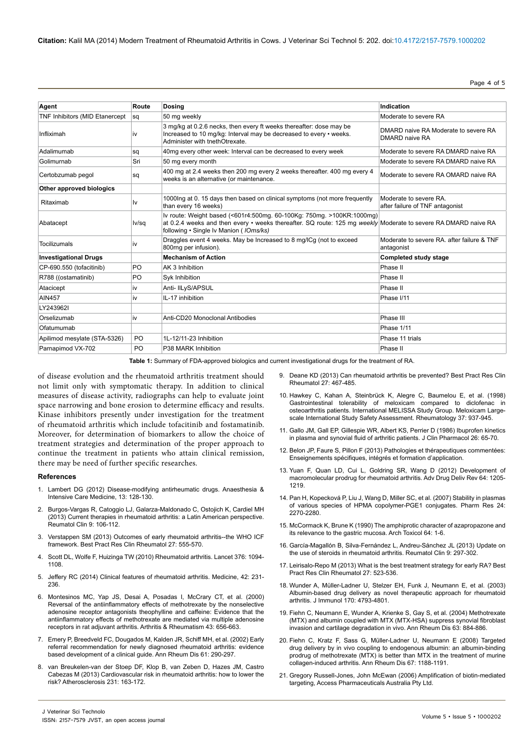Page 4 of 5

| Agent                          | Route          | <b>Dosing</b>                                                                                                                                                                                                                     | Indication                                                |
|--------------------------------|----------------|-----------------------------------------------------------------------------------------------------------------------------------------------------------------------------------------------------------------------------------|-----------------------------------------------------------|
| TNF Inhibitors (MID Etanercept | sq             | 50 mg weekly                                                                                                                                                                                                                      | Moderate to severe RA                                     |
| Infliximah                     | İV             | 3 mg/kg at 0.2.6 necks, then every ft weeks thereafter: dose may be<br>Increased to 10 mg/kg: Interval may be decreased to every • weeks.<br>Administer with tnethOtrexate.                                                       | DMARD naive RA Moderate to severe RA<br>DMARD naive RA    |
| Adalimumab                     | sq             | 40mg every other week: Interval can be decreased to every week                                                                                                                                                                    | Moderate to severe RA DMARD naive RA                      |
| Golimurnab                     | Sri            | 50 mg every month                                                                                                                                                                                                                 | Moderate to severe RA DMARD naive RA                      |
| Certobzumab pegol              | sq             | 400 mg at 2.4 weeks then 200 mg every 2 weeks thereafter. 400 mg every 4<br>weeks is an alternative (or maintenance.                                                                                                              | Moderate to severe RA OMARD naive RA                      |
| Other approved biologics       |                |                                                                                                                                                                                                                                   |                                                           |
| Ritaximab                      | I٧             | 1000lng at 0.15 days then based on clinical symptoms (not more frequently<br>than every 16 weeks)                                                                                                                                 | Moderate to severe RA.<br>after failure of TNF antagonist |
| Abatacept                      | lv/sq          | Iv route: Weight based (<601r4:500mg. 60-100Kg: 750mg. >100KR:1000mg)<br>at 0.2.4 weeks and then every • weeks thereafter. SQ route: 125 mg weekly Moderate to severe RA DMARD naive RA<br>following • Single Iv Manion (IOms/ks) |                                                           |
| Tocilizumals                   | <b>IV</b>      | Draggles event 4 weeks. May be Increased to 8 mg/lCg (not to exceed<br>800rng per infusion).                                                                                                                                      | Moderate to severe RA, after failure & TNF<br>antagonist  |
| <b>Investigational Drugs</b>   |                | <b>Mechanism of Action</b>                                                                                                                                                                                                        | Completed study stage                                     |
| CP-690.550 (tofacitinib)       | PO             | AK 3 Inhibition                                                                                                                                                                                                                   | Phase II                                                  |
| R788 ((ostamatinib)            | PO             | Syk Inhibition                                                                                                                                                                                                                    | Phase II                                                  |
| Atacicept                      | iv             | Anti- IILyS/APSUL                                                                                                                                                                                                                 | Phase II                                                  |
| <b>AIN457</b>                  | iv             | IL-17 inhibition                                                                                                                                                                                                                  | Phase I/11                                                |
| LY243962I                      |                |                                                                                                                                                                                                                                   |                                                           |
| Orselizumab                    | iv             | Anti-CD20 Monoclonal Antibodies                                                                                                                                                                                                   | Phase III                                                 |
| Ofatumumab                     |                |                                                                                                                                                                                                                                   | Phase 1/11                                                |
| Apilimod mesylate (STA-5326)   | P <sub>O</sub> | 1L-12/11-23 Inhibition                                                                                                                                                                                                            | Phase 11 trials                                           |
| Parnapimod VX-702              | PO.            | P38 MARK Inhibition                                                                                                                                                                                                               | Phase II                                                  |

**Table 1:** Summary of FDA-approved biologics and current investigational drugs for the treatment of RA.

of disease evolution and the rheumatoid arthritis treatment should not limit only with symptomatic therapy. In addition to clinical measures of disease activity, radiographs can help to evaluate joint space narrowing and bone erosion to determine efficacy and results. Kinase inhibitors presently under investigation for the treatment of rheumatoid arthritis which include tofacitinib and fostamatinib. Moreover, for determination of biomarkers to allow the choice of treatment strategies and determination of the proper approach to continue the treatment in patients who attain clinical remission, there may be need of further specific researches.

#### **References**

- 1. [Lambert DG \(2012\) Disease-modifying antirheumatic drugs. Anaesthesia &](http://www.sciencedirect.com/science/article/pii/S1472029911002943) [Intensive Care Medicine, 13: 128-130.](http://www.sciencedirect.com/science/article/pii/S1472029911002943)
- 2. [Burgos-Vargas R, Catoggio LJ, Galarza-Maldonado C, Ostojich K, Cardiel MH](http://www.ncbi.nlm.nih.gov/pubmed/23337169) [\(2013\) Current therapies in rheumatoid arthritis: a Latin American perspective.](http://www.ncbi.nlm.nih.gov/pubmed/23337169) [Reumatol Clin 9: 106-112.](http://www.ncbi.nlm.nih.gov/pubmed/23337169)
- 3. [Verstappen SM \(2013\) Outcomes of early rheumatoid arthritis--the WHO ICF](http://www.ncbi.nlm.nih.gov/pubmed/24315054) [framework. Best Pract Res Clin Rheumatol 27: 555-570.](http://www.ncbi.nlm.nih.gov/pubmed/24315054)
- 4. [Scott DL, Wolfe F, Huizinga TW \(2010\) Rheumatoid arthritis. Lancet 376: 1094-](http://www.ncbi.nlm.nih.gov/pubmed/20870100) [1108.](http://www.ncbi.nlm.nih.gov/pubmed/20870100)
- 5. [Jeffery RC \(2014\) Clinical features of rheumatoid arthritis. Medicine, 42: 231-](http://www.medicinejournal.co.uk/article/S1357-3039%2814%2900051-6/abstract) [236.](http://www.medicinejournal.co.uk/article/S1357-3039%2814%2900051-6/abstract)
- 6. [Montesinos MC, Yap JS, Desai A, Posadas I, McCrary CT, et al. \(2000\)](http://onlinelibrary.wiley.com/doi/10.1002/1529-0131%28200003%2943:3%3C656::AID-ANR23%3E3.0.CO;2-H/abstract;jsessionid=033431AF0D22645137607C05416F8C85.f03t02) [Reversal of the antiinflammatory effects of methotrexate by the nonselective](http://onlinelibrary.wiley.com/doi/10.1002/1529-0131%28200003%2943:3%3C656::AID-ANR23%3E3.0.CO;2-H/abstract;jsessionid=033431AF0D22645137607C05416F8C85.f03t02) [adenosine receptor antagonists theophylline and caffeine: Evidence that the](http://onlinelibrary.wiley.com/doi/10.1002/1529-0131%28200003%2943:3%3C656::AID-ANR23%3E3.0.CO;2-H/abstract;jsessionid=033431AF0D22645137607C05416F8C85.f03t02) [antiinflammatory effects of methotrexate are mediated via multiple adenosine](http://onlinelibrary.wiley.com/doi/10.1002/1529-0131%28200003%2943:3%3C656::AID-ANR23%3E3.0.CO;2-H/abstract;jsessionid=033431AF0D22645137607C05416F8C85.f03t02) [receptors in rat adjuvant arthritis. Arthritis & Rheumatism 43: 656-663.](http://onlinelibrary.wiley.com/doi/10.1002/1529-0131%28200003%2943:3%3C656::AID-ANR23%3E3.0.CO;2-H/abstract;jsessionid=033431AF0D22645137607C05416F8C85.f03t02)
- 7. [Emery P, Breedveld FC, Dougados M, Kalden JR, Schiff MH, et al. \(2002\) Early](http://www.ncbi.nlm.nih.gov/pubmed/11874828) [referral recommendation for newly diagnosed rheumatoid arthritis: evidence](http://www.ncbi.nlm.nih.gov/pubmed/11874828) [based development of a clinical guide. Ann Rheum Dis 61: 290-297.](http://www.ncbi.nlm.nih.gov/pubmed/11874828)
- 8. [van Breukelen-van der Stoep DF, Klop B, van Zeben D, Hazes JM, Castro](http://www.ncbi.nlm.nih.gov/pubmed/24125429) [Cabezas M \(2013\) Cardiovascular risk in rheumatoid arthritis: how to lower the](http://www.ncbi.nlm.nih.gov/pubmed/24125429) [risk? Atherosclerosis 231: 163-172.](http://www.ncbi.nlm.nih.gov/pubmed/24125429)
- 9. [Deane KD \(2013\) Can rheumatoid arthritis be prevented? Best Pract Res Clin](http://www.ncbi.nlm.nih.gov/pubmed/24315049)  [Rheumatol 27: 467-485.](http://www.ncbi.nlm.nih.gov/pubmed/24315049)
- 10. [Hawkey C, Kahan A, Steinbrück K, Alegre C, Baumelou E, et al. \(1998\)](http://rheumatology.oxfordjournals.org/content/37/9/937.full.pdf)  [Gastrointestinal tolerability of meloxicam compared to diclofenac in](http://rheumatology.oxfordjournals.org/content/37/9/937.full.pdf)  [osteoarthritis patients. International MELISSA Study Group. Meloxicam Large](http://rheumatology.oxfordjournals.org/content/37/9/937.full.pdf)[scale International Study Safety Assessment. Rheumatology 37: 937-945.](http://rheumatology.oxfordjournals.org/content/37/9/937.full.pdf)
- 11. [Gallo JM, Gall EP, Gillespie WR, Albert KS, Perrier D \(1986\) Ibuprofen kinetics](http://www.ncbi.nlm.nih.gov/pubmed/3950052)  [in plasma and synovial fluid of arthritic patients. J Clin Pharmacol 26: 65-70.](http://www.ncbi.nlm.nih.gov/pubmed/3950052)
- 12. [Belon JP, Faure S, Pillon F \(2013\) Pathologies et thérapeutiques commentées:](http://books.google.fr/books?hl=fr&lr=&id=ahNCR8uXZVgC&oi=fnd&pg=PP1&dq=Pathologies+et+the%CC%81rapeutiques+commente%CC%81es+enseignements+spe%CC%81cifiques,+inte%CC%81gre%CC%81s+et+formation+d%E2%80%99application&ots=wOsXmFFRGJ&sig=I3fGzaNk0OTnxj4dlE8NBmR1Ao4#v=onepage&q=Pathologies et the%CC%81rapeutiques commente%CC%81es enseignements spe%CC%81cifiques%2C inte%CC%81gre%CC%81s et formation d%E2%80%99application&f=false)  [Enseignements spécifiques, intégrés et formation d'application.](http://books.google.fr/books?hl=fr&lr=&id=ahNCR8uXZVgC&oi=fnd&pg=PP1&dq=Pathologies+et+the%CC%81rapeutiques+commente%CC%81es+enseignements+spe%CC%81cifiques,+inte%CC%81gre%CC%81s+et+formation+d%E2%80%99application&ots=wOsXmFFRGJ&sig=I3fGzaNk0OTnxj4dlE8NBmR1Ao4#v=onepage&q=Pathologies et the%CC%81rapeutiques commente%CC%81es enseignements spe%CC%81cifiques%2C inte%CC%81gre%CC%81s et formation d%E2%80%99application&f=false)
- 13. [Yuan F, Quan LD, Cui L, Goldring SR, Wang D \(2012\) Development of](http://www.ncbi.nlm.nih.gov/pubmed/22433784)  [macromolecular prodrug for rheumatoid arthritis. Adv Drug Deliv Rev 64: 1205-](http://www.ncbi.nlm.nih.gov/pubmed/22433784) [1219.](http://www.ncbi.nlm.nih.gov/pubmed/22433784)
- 14. [Pan H, Kopecková P, Liu J, Wang D, Miller SC, et al. \(2007\) Stability in plasmas](http://www.ncbi.nlm.nih.gov/pubmed/17899324)  [of various species of HPMA copolymer-PGE1 conjugates. Pharm Res 24:](http://www.ncbi.nlm.nih.gov/pubmed/17899324)  [2270-2280.](http://www.ncbi.nlm.nih.gov/pubmed/17899324)
- 15. [McCormack K, Brune K \(1990\) The amphiprotic character of azapropazone and](http://www.ncbi.nlm.nih.gov/pubmed/2407231)  [its relevance to the gastric mucosa. Arch Toxicol 64: 1-6.](http://www.ncbi.nlm.nih.gov/pubmed/2407231)
- 16. [García-Magallón B, Silva-Fernández L, Andreu-Sánchez JL \(2013\) Update on](http://www.ncbi.nlm.nih.gov/pubmed/23726772)  [the use of steroids in rheumatoid arthritis. Reumatol Clin 9: 297-302.](http://www.ncbi.nlm.nih.gov/pubmed/23726772)
- 17. [Leirisalo-Repo M \(2013\) What is the best treatment strategy for early RA? Best](http://www.ncbi.nlm.nih.gov/pubmed/24315052)  [Pract Res Clin Rheumatol 27: 523-536.](http://www.ncbi.nlm.nih.gov/pubmed/24315052)
- 18. [Wunder A, Müller-Ladner U, Stelzer EH, Funk J, Neumann E, et al. \(2003\)](http://www.ncbi.nlm.nih.gov/pubmed/12707361)  [Albumin-based drug delivery as novel therapeutic approach for rheumatoid](http://www.ncbi.nlm.nih.gov/pubmed/12707361)  [arthritis. J Immunol 170: 4793-4801.](http://www.ncbi.nlm.nih.gov/pubmed/12707361)
- 19. [Fiehn C, Neumann E, Wunder A, Krienke S, Gay S, et al. \(2004\) Methotrexate](http://www.ncbi.nlm.nih.gov/pubmed/15194591)  [\(MTX\) and albumin coupled with MTX \(MTX-HSA\) suppress synovial fibroblast](http://www.ncbi.nlm.nih.gov/pubmed/15194591)  [invasion and cartilage degradation in vivo. Ann Rheum Dis 63: 884-886.](http://www.ncbi.nlm.nih.gov/pubmed/15194591)
- 20. [Fiehn C, Kratz F, Sass G, Müller-Ladner U, Neumann E \(2008\) Targeted](http://www.ncbi.nlm.nih.gov/pubmed/18408252)  [drug delivery by in vivo coupling to endogenous albumin: an albumin-binding](http://www.ncbi.nlm.nih.gov/pubmed/18408252)  [prodrug of methotrexate \(MTX\) is better than MTX in the treatment of murine](http://www.ncbi.nlm.nih.gov/pubmed/18408252)  [collagen-induced arthritis. Ann Rheum Dis 67: 1188-1191.](http://www.ncbi.nlm.nih.gov/pubmed/18408252)
- 21. Gregory Russell-Jones, John McEwan (2006) Amplification of biotin-mediated targeting, Access Pharmaceuticals Australia Pty Ltd.